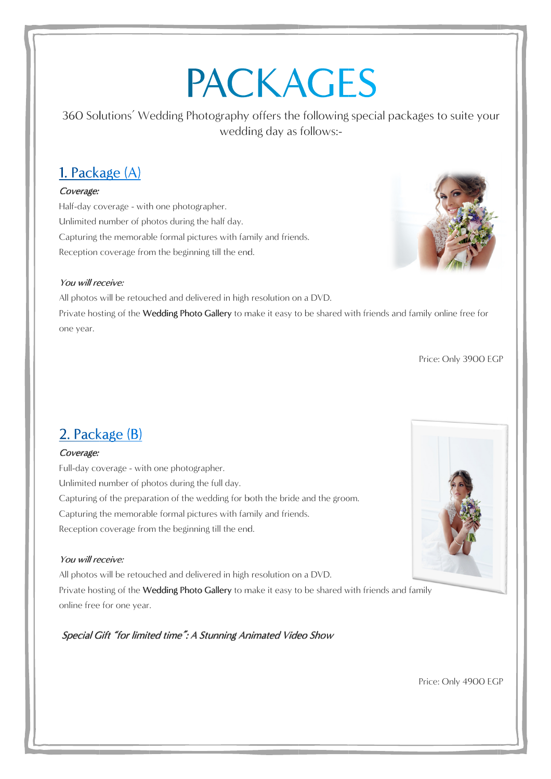# **PACKAGES**

360 Solutions Solutions' Wedd ing wedding day the following special packages special packages to suite your wedding day as follows:-

## Coverage:

Half-day coverage - with one photographer. Unlimited number of photos during the half day. Capturing the memorable formal pictures with family and friends. Reception eception coverage from the beginning during the half day.<br>·mal pictures with family<br>· beginning till the end.



#### You will receive:

All photos will be retouched and delivered in high resolution on a DVD. Reception coverage from the beginning till the end.<br> **Example 2018 We We are:**<br>
All photos will be retouched and delivered in high resolution on a DVD.<br>
Private hosting of the **Wedding Photo Gallery** to make it easy to be one year.

Price: Only Price: Only 3900 EGP

#### Coverage:

Full-day coverage - with one photographer. Unlimited number of photos during the full day. Capturing of the preparation of the wedding for both the bride and the groom.<br>Capturing the memorable formal pictures with family and friends. Capturing the memorable formal pictures with family and friends.<br>Reception coverage from the beginning till the end. Reception coverage from the beginning Capturing of the preparation of the wedding for both the bride and the groom.<br>Capturing the memorable formal pictures with family and friends.<br>Reception coverage from the beginning till the end.<br>**You will receive:**<br>All pho Wedding Photography offers the follow<br>wedding day as follows<br>
wedding day as follows<br>
2<br>
2<br>
with one photographer.<br>
ranble formal pictures with family and friends.<br>
from the beginning till the end.<br>
ouched and delivered in 360 Solutions' Wedding Photography offers the following<br>
wedding day as follows:-<br>
1. Package (A)<br>
Soverage:<br>
stati-day coverage - with one photographer.<br>
stati-day coverage - with one photographer.<br>
lalimited number of p wedding day as follows:-<br>
ographer.<br>
g the half day.<br>
ictures with family and friends.<br>
ning till the end.<br>
elivered in high resolution on a DVD.<br> **boto Gallery** to make it easy to be shared<br>
giorures with family and frien

#### You will receive:

All photos will be retouched and delivered in high resolution on a DVD. online free for one year .

Special Gift "for limited time": A Stunning Animated Video Show



Price: Only Only 4900 EGP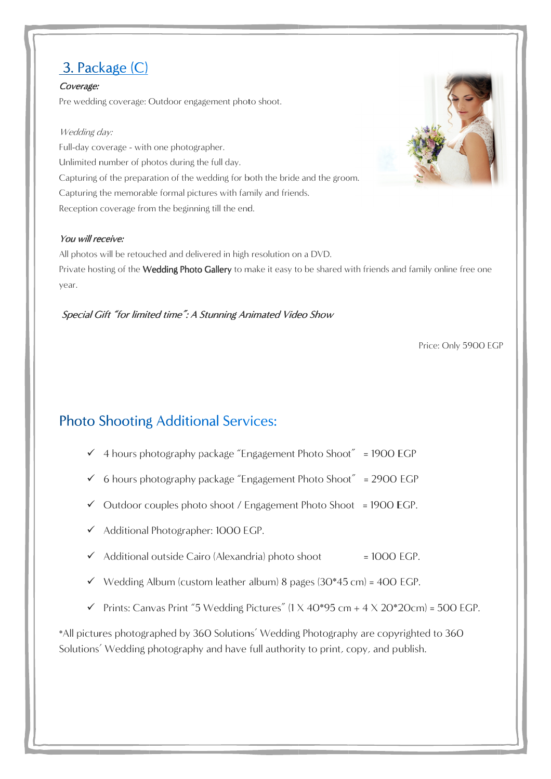# 3. Package (C)

#### Coverage: Pre wedding coverage: Outdoor engagement photo shoot.

## Wedding day:

Full-day coverage - with one photographer. Unlimited number of number of photo photos during the full day. Capturing of the preparation of the wedding for both the bride and the groom.<br>Capturing the memorable formal pictures with family and friends. Capturing the memorable formal pictures with family and friends. Capturing the memorable formal pictures with family<br>Reception coverage from the beginning till the end. oor engagement photo shoot.<br>photographer.<br>during the full day.<br>of the wedding for both the bride and the groom. Capturing of the preparation of the wedding for both the bride and the groom.<br>Capturing the memorable formal pictures with family and friends.<br>Reception coverage from the beginning till the end.<br>**You will receive:**<br>All pho

#### You will receive:

All photos will be retouched and delivered in high resolution on a DVD. All photos will be retouched and delivered in high resolution on a DVD.<br>Private hosting of the **Wedding Photo Gallery** to make it easy to be shared with year. Capturing of the preparation of the wedding or both the bride and the groom.<br>
Capturing the uncnorable formal bickures with family and friends.<br> **Exercition** coverage from the beginning till the end.<br> **You will receive:**<br> it easy to be shared with friends and family online free one<br> **ated Video Show**<br>
Price: Only 5900 EC<br> **Standard Price: Only 5900 ECP**<br> **atement Photo Shoot** = 1900 EGP<br> **atement Photo Shoot = 1900 EGP.**<br> **photo shoot = 100** 

## Special Gift "for limited time": A Stunning Animated Video Show

Price: Only 5900 EGP

- √ 4 hours photography package "Engagement Photo Shoot" = 1900 EGP
- 6 hours photography package photography package "Engagement Photo Shoot ckage "Engagement Photo Shoot"<br>ckage "Engagement Photo Shoot"<br>shoot / Engagement Photo Shoo"<br>: 1000 EGP. Engagement Photo Shoot $^{\prime\prime}$  = 2900 EGP
- Outdoor couples photo shoot / Engagement Photo Shoot Photo Shoot = 1900 EGP EGP.
- √ Outdoor couples photo shoot / Eng<br>← Additional Photographer: 1000 EGP
- $\checkmark$  Additional outside Cairo (Alexandria) photo shoot = 1000  $= 1000$  EGP.
- $\checkmark$  Wedding Album (custom leather album) 8 pages (30\*45 cm) = 400 EGP.
- Additional outside Cairo (Alexandria) photo shoot = 1000 EGP.<br>
V Wedding Album (custom leather album) 8 pages (30\*45 cm) = 400 EGP.<br>
V Prints: Canvas Print "5 Wedding Pictures" (1 X 40\*95 cm + 4 X 20\*20cm) = 500 EGP.

\*All pictures photographed by 360 Solutions' Wedding Photography are copyrighted to 360 \*All pictures photographed by 360 Solutions' Wedding Photography are copyrighte<br>Solutions' Wedding photography and have full authority to print, copy, and publish.